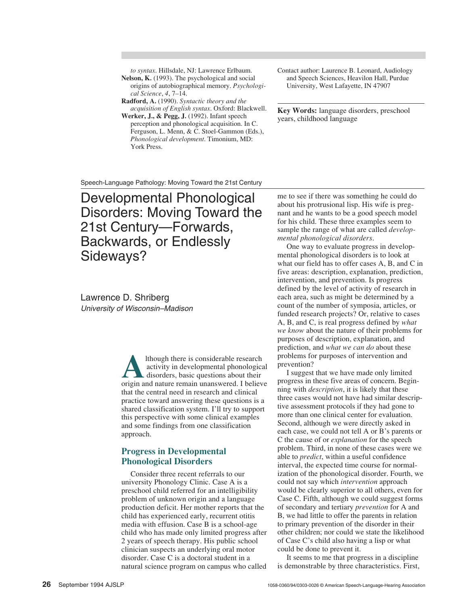origins of autobiographical memory. *Psychological Science*, *4*, 7–14. **Radford, A.** (1990). *Syntactic theory and the*

*acquisition of English syntax*. Oxford: Blackwell. **Werker, J., & Pegg, J.** (1992). Infant speech perception and phonological acquisition. In C. Ferguson, L. Menn, & C. Stoel-Gammon (Eds.), *Phonological development*. Timonium, MD: York Press.

Contact author: Laurence B. Leonard, Audiology and Speech Sciences, Heavilon Hall, Purdue University, West Lafayette, IN 47907

**Key Words:** language disorders, preschool years, childhood language

Speech-Language Pathology: Moving Toward the 21st Century

Developmental Phonological Disorders: Moving Toward the 21st Century—Forwards, Backwards, or Endlessly Sideways?

Lawrence D. Shriberg University of Wisconsin–Madison

> Ithough there is considerable research<br>activity in developmental phonologic<br>disorders, basic questions about their<br>origin and nature remain unanswered I believ activity in developmental phonological disorders, basic questions about their origin and nature remain unanswered. I believe that the central need in research and clinical practice toward answering these questions is a shared classification system. I'll try to support this perspective with some clinical examples and some findings from one classification approach.

# **Progress in Developmental Phonological Disorders**

Consider three recent referrals to our university Phonology Clinic. Case A is a preschool child referred for an intelligibility problem of unknown origin and a language production deficit. Her mother reports that the child has experienced early, recurrent otitis media with effusion. Case B is a school-age child who has made only limited progress after 2 years of speech therapy. His public school clinician suspects an underlying oral motor disorder. Case C is a doctoral student in a natural science program on campus who called

me to see if there was something he could do about his protrusional lisp. His wife is pregnant and he wants to be a good speech model for his child. These three examples seem to sample the range of what are called *developmental phonological disorders*.

One way to evaluate progress in developmental phonological disorders is to look at what our field has to offer cases A, B, and C in five areas: description, explanation, prediction, intervention, and prevention. Is progress defined by the level of activity of research in each area, such as might be determined by a count of the number of symposia, articles, or funded research projects? Or, relative to cases A, B, and C, is real progress defined by *what we know* about the nature of their problems for purposes of description, explanation, and prediction, and *what we can do* about these problems for purposes of intervention and prevention?

I suggest that we have made only limited progress in these five areas of concern. Beginning with *description*, it is likely that these three cases would not have had similar descriptive assessment protocols if they had gone to more than one clinical center for evaluation. Second, although we were directly asked in each case, we could not tell A or B's parents or C the cause of or *explanation* for the speech problem. Third, in none of these cases were we able to *predict*, within a useful confidence interval, the expected time course for normalization of the phonological disorder. Fourth, we could not say which *intervention* approach would be clearly superior to all others, even for Case C. Fifth, although we could suggest forms of secondary and tertiary *prevention* for A and B, we had little to offer the parents in relation to primary prevention of the disorder in their other children; nor could we state the likelihood of Case C's child also having a lisp or what could be done to prevent it.

It seems to me that progress in a discipline is demonstrable by three characteristics. First,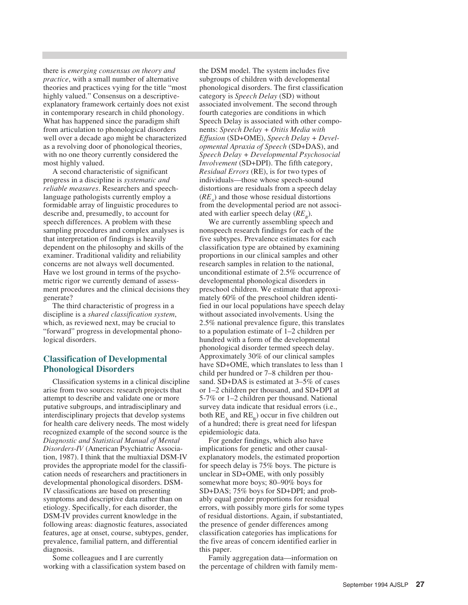there is *emerging consensus on theory and practice*, with a small number of alternative theories and practices vying for the title "most highly valued." Consensus on a descriptiveexplanatory framework certainly does not exist in contemporary research in child phonology. What has happened since the paradigm shift from articulation to phonological disorders well over a decade ago might be characterized as a revolving door of phonological theories, with no one theory currently considered the most highly valued.

A second characteristic of significant progress in a discipline is *systematic and reliable measures*. Researchers and speechlanguage pathologists currently employ a formidable array of linguistic procedures to describe and, presumedly, to account for speech differences. A problem with these sampling procedures and complex analyses is that interpretation of findings is heavily dependent on the philosophy and skills of the examiner. Traditional validity and reliability concerns are not always well documented. Have we lost ground in terms of the psychometric rigor we currently demand of assessment procedures and the clinical decisions they generate?

The third characteristic of progress in a discipline is a *shared classification system*, which, as reviewed next, may be crucial to "forward" progress in developmental phonological disorders.

### **Classification of Developmental Phonological Disorders**

Classification systems in a clinical discipline arise from two sources: research projects that attempt to describe and validate one or more putative subgroups, and intradisciplinary and interdisciplinary projects that develop systems for health care delivery needs. The most widely recognized example of the second source is the *Diagnostic and Statistical Manual of Mental Disorders-IV* (American Psychiatric Association, 1987). I think that the multiaxial DSM-IV provides the appropriate model for the classification needs of researchers and practitioners in developmental phonological disorders. DSM-IV classifications are based on presenting symptoms and descriptive data rather than on etiology. Specifically, for each disorder, the DSM-IV provides current knowledge in the following areas: diagnostic features, associated features, age at onset, course, subtypes, gender, prevalence, familial pattern, and differential diagnosis.

Some colleagues and I are currently working with a classification system based on the DSM model. The system includes five subgroups of children with developmental phonological disorders. The first classification category is *Speech Delay* (SD) without associated involvement. The second through fourth categories are conditions in which Speech Delay is associated with other components: *Speech Delay + Otitis Media with Effusion* (SD+OME), *Speech Delay + Developmental Apraxia of Speech* (SD+DAS), and *Speech Delay + Developmental Psychosocial Involvement* (SD+DPI). The fifth category, *Residual Errors* (RE), is for two types of individuals—those whose speech-sound distortions are residuals from a speech delay  $(RE_A)$  and those whose residual distortions from the developmental period are not associated with earlier speech delay ( $RE<sub>p</sub>$ ).

We are currently assembling speech and nonspeech research findings for each of the five subtypes. Prevalence estimates for each classification type are obtained by examining proportions in our clinical samples and other research samples in relation to the national, unconditional estimate of 2.5% occurrence of developmental phonological disorders in preschool children. We estimate that approximately 60% of the preschool children identified in our local populations have speech delay without associated involvements. Using the 2.5% national prevalence figure, this translates to a population estimate of 1–2 children per hundred with a form of the developmental phonological disorder termed speech delay. Approximately 30% of our clinical samples have SD+OME, which translates to less than 1 child per hundred or 7–8 children per thousand. SD+DAS is estimated at 3–5% of cases or 1–2 children per thousand, and SD+DPI at 5-7% or 1–2 children per thousand. National survey data indicate that residual errors (i.e., both  $RE_{\text{A}}$  and  $RE_{\text{B}}$ ) occur in five children out of a hundred; there is great need for lifespan epidemiologic data.

For gender findings, which also have implications for genetic and other causalexplanatory models, the estimated proportion for speech delay is 75% boys. The picture is unclear in SD+OME, with only possibly somewhat more boys; 80–90% boys for SD+DAS; 75% boys for SD+DPI; and probably equal gender proportions for residual errors, with possibly more girls for some types of residual distortions. Again, if substantiated, the presence of gender differences among classification categories has implications for the five areas of concern identified earlier in this paper.

Family aggregation data—information on the percentage of children with family mem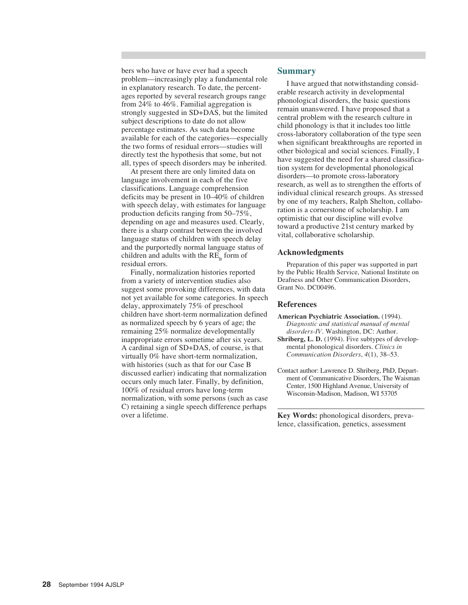bers who have or have ever had a speech problem—increasingly play a fundamental role in explanatory research. To date, the percentages reported by several research groups range from 24% to 46%. Familial aggregation is strongly suggested in SD+DAS, but the limited subject descriptions to date do not allow percentage estimates. As such data become available for each of the categories—especially the two forms of residual errors—studies will directly test the hypothesis that some, but not all, types of speech disorders may be inherited.

At present there are only limited data on language involvement in each of the five classifications. Language comprehension deficits may be present in 10–40% of children with speech delay, with estimates for language production deficits ranging from 50–75%, depending on age and measures used. Clearly, there is a sharp contrast between the involved language status of children with speech delay and the purportedly normal language status of children and adults with the  $RE<sub>B</sub>$  form of residual errors.

Finally, normalization histories reported from a variety of intervention studies also suggest some provoking differences, with data not yet available for some categories. In speech delay, approximately 75% of preschool children have short-term normalization defined as normalized speech by 6 years of age; the remaining 25% normalize developmentally inappropriate errors sometime after six years. A cardinal sign of SD+DAS, of course, is that virtually 0% have short-term normalization, with histories (such as that for our Case B discussed earlier) indicating that normalization occurs only much later. Finally, by definition, 100% of residual errors have long-term normalization, with some persons (such as case C) retaining a single speech difference perhaps over a lifetime.

#### **Summary**

I have argued that notwithstanding considerable research activity in developmental phonological disorders, the basic questions remain unanswered. I have proposed that a central problem with the research culture in child phonology is that it includes too little cross-laboratory collaboration of the type seen when significant breakthroughs are reported in other biological and social sciences. Finally, I have suggested the need for a shared classification system for developmental phonological disorders—to promote cross-laboratory research, as well as to strengthen the efforts of individual clinical research groups. As stressed by one of my teachers, Ralph Shelton, collaboration is a cornerstone of scholarship. I am optimistic that our discipline will evolve toward a productive 21st century marked by vital, collaborative scholarship.

#### **Acknowledgments**

Preparation of this paper was supported in part by the Public Health Service, National Institute on Deafness and Other Communication Disorders, Grant No. DC00496.

#### **References**

- **American Psychiatric Association.** (1994). *Diagnostic and statistical manual of mental disorders-IV*. Washington, DC: Author.
- **Shriberg, L. D.** (1994). Five subtypes of developmental phonological disorders. *Clinics in Communication Disorders*, *4*(1), 38–53.
- Contact author: Lawrence D. Shriberg, PhD, Department of Communicative Disorders, The Waisman Center, 1500 Highland Avenue, University of Wisconsin-Madison, Madison, WI 53705

**Key Words:** phonological disorders, prevalence, classification, genetics, assessment